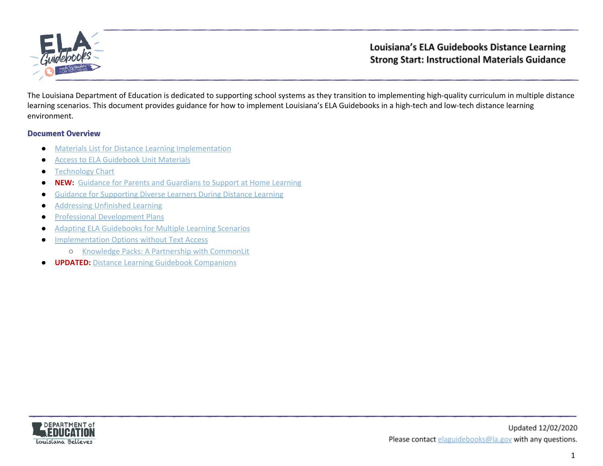

The Louisiana Department of Education is dedicated to supporting school systems as they transition to implementing high-quality curriculum in multiple distance learning scenarios. This document provides guidance for how to implement Louisiana's ELA Guidebooks in a high-tech and low-tech distance learning environment.

#### **Document Overview**

- [Materials List for Distance Learning Implementation](#page-1-0)
- [Access to ELA Guidebook Unit Materials](#page-3-0)
- [Technology Chart](#page-5-0)
- **NEW:** [Guidance for Parents and Guardians to Support at Home Learning](#page-6-0)
- [Guidance for Supporting Diverse Learners During Distance Learning](#page-7-0)
- [Addressing Unfinished Learning](#page-8-0)
- [Professional Development Plans](#page-10-0)
- [Adapting ELA Guidebooks for Multiple Learning Scenarios](#page-11-0)
- [Implementation Options without Text Access](#page-14-0)
	- [Knowledge Packs: A Partnership with CommonLit](#page-14-1)
- **UPDATED:** [Distance Learning Guidebook Companions](#page-16-0)

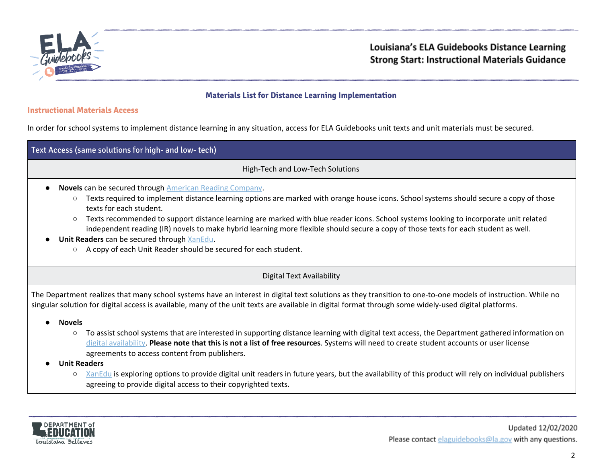

## <span id="page-1-0"></span>**Materials List for Distance Learning Implementation**

# **Instructional Materials Access**

In order for school systems to implement distance learning in any situation, access for ELA Guidebooks unit texts and unit materials must be secured.

| Text Access (same solutions for high- and low- tech) |                                                                                                                                                                                                                                                                                                                                                                                                                                                                                                                                                                                                                                     |  |  |  |
|------------------------------------------------------|-------------------------------------------------------------------------------------------------------------------------------------------------------------------------------------------------------------------------------------------------------------------------------------------------------------------------------------------------------------------------------------------------------------------------------------------------------------------------------------------------------------------------------------------------------------------------------------------------------------------------------------|--|--|--|
|                                                      | High-Tech and Low-Tech Solutions                                                                                                                                                                                                                                                                                                                                                                                                                                                                                                                                                                                                    |  |  |  |
| $\circ$<br>$\circ$<br>$\circ$                        | <b>Novels can be secured through American Reading Company.</b><br>Texts required to implement distance learning options are marked with orange house icons. School systems should secure a copy of those<br>texts for each student.<br>Texts recommended to support distance learning are marked with blue reader icons. School systems looking to incorporate unit related<br>independent reading (IR) novels to make hybrid learning more flexible should secure a copy of those texts for each student as well.<br>Unit Readers can be secured through XanEdu.<br>A copy of each Unit Reader should be secured for each student. |  |  |  |
|                                                      | <b>Digital Text Availability</b>                                                                                                                                                                                                                                                                                                                                                                                                                                                                                                                                                                                                    |  |  |  |
|                                                      | The Department realizes that many school systems have an interest in digital text solutions as they transition to one-to-one models of instruction. While no<br>singular solution for digital access is available, many of the unit texts are available in digital format through some widely-used digital platforms.                                                                                                                                                                                                                                                                                                               |  |  |  |
| <b>Novels</b><br>$\bullet$                           |                                                                                                                                                                                                                                                                                                                                                                                                                                                                                                                                                                                                                                     |  |  |  |
| $\circ$                                              | To assist school systems that are interested in supporting distance learning with digital text access, the Department gathered information on<br>digital availability. Please note that this is not a list of free resources. Systems will need to create student accounts or user license<br>agreements to access content from publishers.                                                                                                                                                                                                                                                                                         |  |  |  |
|                                                      | <b>Unit Readers</b>                                                                                                                                                                                                                                                                                                                                                                                                                                                                                                                                                                                                                 |  |  |  |
| $\circ$                                              | XanEdu is exploring options to provide digital unit readers in future years, but the availability of this product will rely on individual publishers<br>agreeing to provide digital access to their copyrighted texts.                                                                                                                                                                                                                                                                                                                                                                                                              |  |  |  |

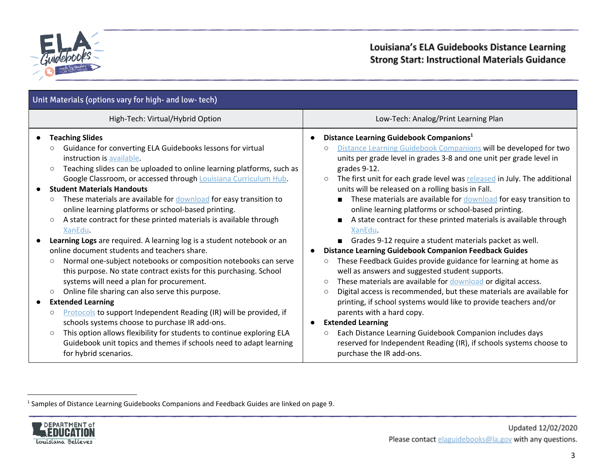

| Unit Materials (options vary for high- and low- tech)                                                                                                                                                                                                                                                                                                                                                                                                                                                                                                                                                                                                                                                                                                                                                                                                                                                                                                                                                                                                                                                                                                                                                                                                                                                                              |                                                                                                                                                                                                                                                                                                                                                                                                                                                                                                                                                                                                                                                                                                                                                                                                                                                                                                                                                                                                                                                                                                                                                                                                                                                                                                                      |  |  |  |
|------------------------------------------------------------------------------------------------------------------------------------------------------------------------------------------------------------------------------------------------------------------------------------------------------------------------------------------------------------------------------------------------------------------------------------------------------------------------------------------------------------------------------------------------------------------------------------------------------------------------------------------------------------------------------------------------------------------------------------------------------------------------------------------------------------------------------------------------------------------------------------------------------------------------------------------------------------------------------------------------------------------------------------------------------------------------------------------------------------------------------------------------------------------------------------------------------------------------------------------------------------------------------------------------------------------------------------|----------------------------------------------------------------------------------------------------------------------------------------------------------------------------------------------------------------------------------------------------------------------------------------------------------------------------------------------------------------------------------------------------------------------------------------------------------------------------------------------------------------------------------------------------------------------------------------------------------------------------------------------------------------------------------------------------------------------------------------------------------------------------------------------------------------------------------------------------------------------------------------------------------------------------------------------------------------------------------------------------------------------------------------------------------------------------------------------------------------------------------------------------------------------------------------------------------------------------------------------------------------------------------------------------------------------|--|--|--|
| High-Tech: Virtual/Hybrid Option                                                                                                                                                                                                                                                                                                                                                                                                                                                                                                                                                                                                                                                                                                                                                                                                                                                                                                                                                                                                                                                                                                                                                                                                                                                                                                   | Low-Tech: Analog/Print Learning Plan                                                                                                                                                                                                                                                                                                                                                                                                                                                                                                                                                                                                                                                                                                                                                                                                                                                                                                                                                                                                                                                                                                                                                                                                                                                                                 |  |  |  |
| <b>Teaching Slides</b><br>$\bullet$<br>Guidance for converting ELA Guidebooks lessons for virtual<br>instruction is available.<br>Teaching slides can be uploaded to online learning platforms, such as<br>$\circ$<br>Google Classroom, or accessed through Louisiana Curriculum Hub.<br><b>Student Materials Handouts</b><br>These materials are available for download for easy transition to<br>$\circ$<br>online learning platforms or school-based printing.<br>A state contract for these printed materials is available through<br>$\bigcirc$<br>XanEdu.<br>Learning Logs are required. A learning log is a student notebook or an<br>online document students and teachers share.<br>Normal one-subject notebooks or composition notebooks can serve<br>$\circ$<br>this purpose. No state contract exists for this purchasing. School<br>systems will need a plan for procurement.<br>Online file sharing can also serve this purpose.<br>$\bigcirc$<br><b>Extended Learning</b><br>$\bullet$<br><b>Protocols</b> to support Independent Reading (IR) will be provided, if<br>$\circ$<br>schools systems choose to purchase IR add-ons.<br>This option allows flexibility for students to continue exploring ELA<br>$\circ$<br>Guidebook unit topics and themes if schools need to adapt learning<br>for hybrid scenarios. | Distance Learning Guidebook Companions <sup>1</sup><br>Distance Learning Guidebook Companions will be developed for two<br>$\circ$<br>units per grade level in grades 3-8 and one unit per grade level in<br>grades 9-12.<br>The first unit for each grade level was released in July. The additional<br>$\circ$<br>units will be released on a rolling basis in Fall.<br>These materials are available for download for easy transition to<br>online learning platforms or school-based printing.<br>A state contract for these printed materials is available through<br>XanEdu.<br>Grades 9-12 require a student materials packet as well.<br><b>Distance Learning Guidebook Companion Feedback Guides</b><br>These Feedback Guides provide guidance for learning at home as<br>$\circ$<br>well as answers and suggested student supports.<br>These materials are available for download or digital access.<br>$\circ$<br>Digital access is recommended, but these materials are available for<br>$\circ$<br>printing, if school systems would like to provide teachers and/or<br>parents with a hard copy.<br><b>Extended Learning</b><br>Each Distance Learning Guidebook Companion includes days<br>$\circ$<br>reserved for Independent Reading (IR), if schools systems choose to<br>purchase the IR add-ons. |  |  |  |

<sup>&</sup>lt;sup>1</sup> Samples of Distance Learning Guidebooks Companions and Feedback Guides are linked on page 9.

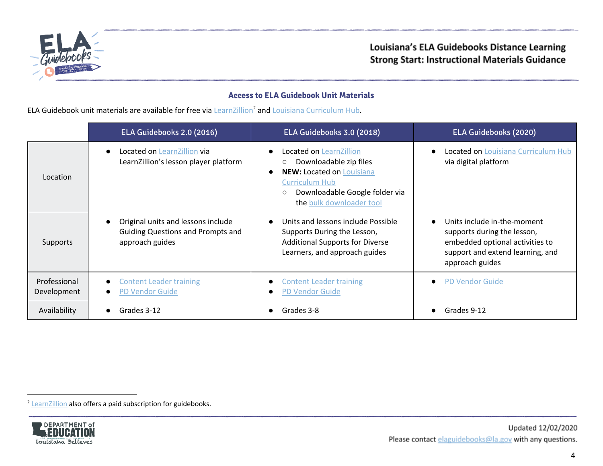

# <span id="page-3-0"></span>**Access to ELA Guidebook Unit Materials**

ELA Guidebook unit materials are available for free via  $LearnZillion<sup>2</sup>$  $LearnZillion<sup>2</sup>$  $LearnZillion<sup>2</sup>$  and *Louisiana [Curriculum](https://louisianacurriculumhub.com/) Hub.*</u>

|                             | ELA Guidebooks 2.0 (2016)                                                                         | ELA Guidebooks 3.0 (2018)                                                                                                                                                                                         | <b>ELA Guidebooks (2020)</b>                                                                                                                         |
|-----------------------------|---------------------------------------------------------------------------------------------------|-------------------------------------------------------------------------------------------------------------------------------------------------------------------------------------------------------------------|------------------------------------------------------------------------------------------------------------------------------------------------------|
| Location                    | Located on LearnZillion via<br>LearnZillion's lesson player platform                              | Located on LearnZillion<br>$\bullet$<br>Downloadable zip files<br><b>NEW: Located on Louisiana</b><br>$\bullet$<br><b>Curriculum Hub</b><br>Downloadable Google folder via<br>$\circ$<br>the bulk downloader tool | Located on Louisiana Curriculum Hub<br>via digital platform                                                                                          |
| Supports                    | Original units and lessons include<br><b>Guiding Questions and Prompts and</b><br>approach guides | Units and lessons include Possible<br>Supports During the Lesson,<br><b>Additional Supports for Diverse</b><br>Learners, and approach guides                                                                      | Units include in-the-moment<br>supports during the lesson,<br>embedded optional activities to<br>support and extend learning, and<br>approach guides |
| Professional<br>Development | <b>Content Leader training</b><br>$\bullet$<br><b>PD Vendor Guide</b><br>$\bullet$                | <b>Content Leader training</b><br><b>PD Vendor Guide</b>                                                                                                                                                          | <b>PD Vendor Guide</b>                                                                                                                               |
| Availability                | Grades 3-12                                                                                       | Grades 3-8                                                                                                                                                                                                        | Grades 9-12                                                                                                                                          |

<sup>&</sup>lt;sup>2</sup> [LearnZillion](https://learnzillion.com/p/guidebooks/) also offers a paid subscription for guidebooks.

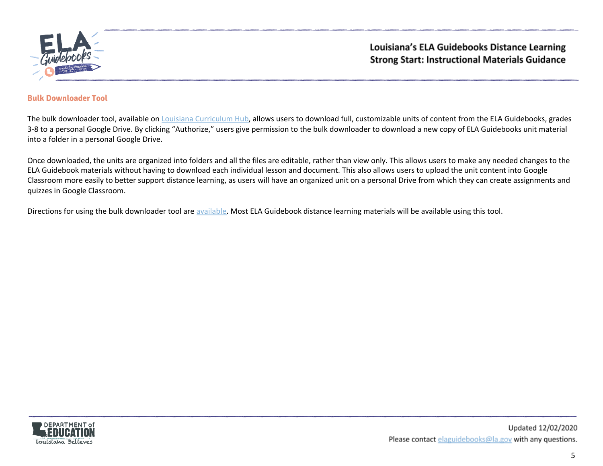

#### <span id="page-4-0"></span>**Bulk Downloader Tool**

The bulk downloader tool, available on *Louisiana [Curriculum](https://louisianacurriculumhub.com/) Hub*, allows users to download full, customizable units of content from the ELA Guidebooks, grades 3-8 to a personal Google Drive. By clicking "Authorize," users give permission to the bulk downloader to download a new copy of ELA Guidebooks unit material into a folder in a personal Google Drive.

Once downloaded, the units are organized into folders and all the files are editable, rather than view only. This allows users to make any needed changes to the ELA Guidebook materials without having to download each individual lesson and document. This also allows users to upload the unit content into Google Classroom more easily to better support distance learning, as users will have an organized unit on a personal Drive from which they can create assignments and quizzes in Google Classroom.

Directions for using the bulk downloader tool are [available.](https://www.louisianabelieves.com/docs/default-source/teacher-toolbox-resources/louisiana-curriculum-hub-bulk-downloader-directions.pdf?sfvrsn=405b981f_2) Most ELA Guidebook distance learning materials will be available using this tool.

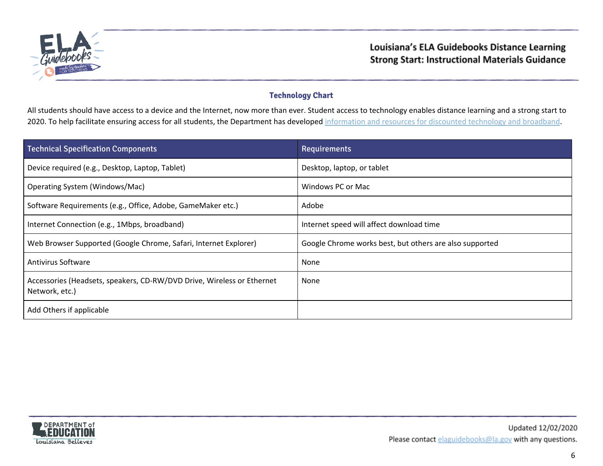

# <span id="page-5-0"></span>**Technology Chart**

All students should have access to a device and the Internet, now more than ever. Student access to technology enables distance learning and a strong start to 2020. To help facilitate ensuring access for all students, the Department has developed [information](https://www.louisianabelieves.com/docs/default-source/covid-19-resources/technology-for-continuous-learning.pdf?sfvrsn=2c269b1f_2) and resources for discounted technology and broadband.

| <b>Technical Specification Components</b>                                                | Requirements                                            |
|------------------------------------------------------------------------------------------|---------------------------------------------------------|
| Device required (e.g., Desktop, Laptop, Tablet)                                          | Desktop, laptop, or tablet                              |
| Operating System (Windows/Mac)                                                           | Windows PC or Mac                                       |
| Software Requirements (e.g., Office, Adobe, GameMaker etc.)                              | Adobe                                                   |
| Internet Connection (e.g., 1Mbps, broadband)                                             | Internet speed will affect download time                |
| Web Browser Supported (Google Chrome, Safari, Internet Explorer)                         | Google Chrome works best, but others are also supported |
| Antivirus Software                                                                       | None                                                    |
| Accessories (Headsets, speakers, CD-RW/DVD Drive, Wireless or Ethernet<br>Network, etc.) | None                                                    |
| Add Others if applicable                                                                 |                                                         |

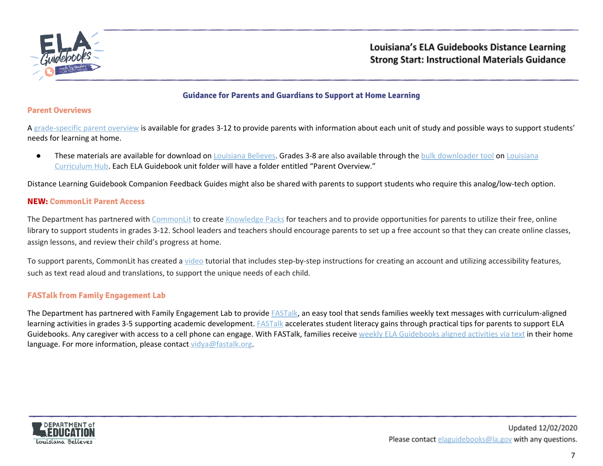

#### <span id="page-6-0"></span>**Guidance for Parents and Guardians to Support at Home Learning**

#### **Parent Overviews**

A [grade-specific](https://www.louisianabelieves.com/academics/ela-guidebooks) parent overview is available for grades 3-12 to provide parents with information about each unit of study and possible ways to support students' needs for learning at home.

**•** These materials are available for download on [Louisiana](https://louisianacurriculumhub.com/) Believes. Grades 3-8 are also available through the bulk [downloader](#page-4-0) tool on Louisiana [Curriculum](https://louisianacurriculumhub.com/) Hub. Each ELA Guidebook unit folder will have a folder entitled "Parent Overview."

Distance Learning Guidebook Companion Feedback Guides might also be shared with parents to support students who require this analog/low-tech option.

#### **NEW: CommonLit Parent Access**

The Department has partnered with [CommonLit](https://www.commonlit.org/) to create [Knowledge](https://www.louisianabelieves.com/academics/ela-guidebooks) Packs for teachers and to provide opportunities for parents to utilize their free, online library to support students in grades 3-12. School leaders and teachers should encourage parents to set up a free account so that they can create online classes, assign lessons, and review their child's progress at home.

To support parents, CommonLit has created a [video](https://www.youtube.com/watch?v=xT-IFNo1UIE) tutorial that includes step-by-step instructions for creating an account and utilizing accessibility features, such as text read aloud and translations, to support the unique needs of each child.

#### **FASTalk from Family Engagement Lab**

The Department has partnered with Family Engagement Lab to provide **FASTalk**, an easy tool that sends families weekly text messages with curriculum-aligned learning activities in grades 3-5 supporting academic development. [FASTalk](https://urldefense.proofpoint.com/v2/url?u=http-3A__www.familyengagementlab.org_&d=DwMFaQ&c=xlPCXuHzMdaH2Flc1sgyicYpGQbQbU9KDEmgNF3_wI0&r=rwaDH7RtXneywOgAG2S_zOVDxooB_50VhtuU91mVjIc&m=_-9tZ7tXNnei2ZqiesADCgFC8I4lb6y5KqxnVBFznx4&s=zkUYkA0_CECABa_B_CtRF9yBCaS8MqsiNocCCbw0wR4&e=) accelerates student literacy gains through practical tips for parents to support ELA [Guidebooks](https://www.louisianabelieves.com/docs/default-source/academics/fastalk-ela-gb-content-sample.pdf?sfvrsn=9bee981f_2). Any caregiver with access to a cell phone can engage. With FASTalk, families receive weekly ELA Guidebooks aligned activities via text in their home language. For more information, please contact [vidya@fastalk.org](mailto:vidya@fastalk.org).

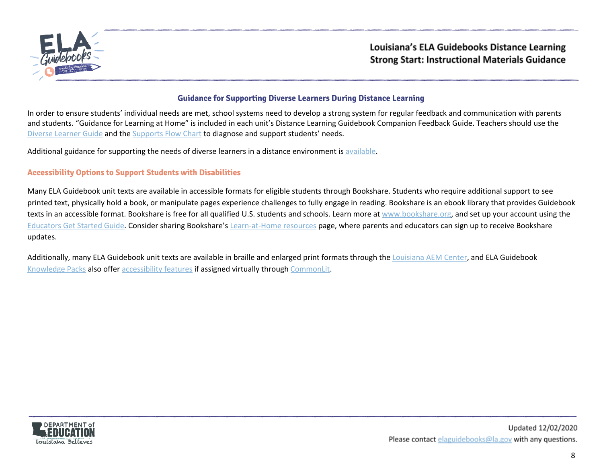

#### <span id="page-7-0"></span>**Guidance for Supporting Diverse Learners During Distance Learning**

In order to ensure students' individual needs are met, school systems need to develop a strong system for regular feedback and communication with parents and students. "Guidance for Learning at Home" is included in each unit's Distance Learning Guidebook Companion Feedback Guide. Teachers should use the Diverse [Learner](https://learnzillion.com/resources/134194/) Guide and the [Supports](https://learnzillion.com/resources/134191/) Flow Chart to diagnose and support students' needs.

Additional guidance for supporting the needs of diverse learners in a distance environment is [available.](https://louisianabelieves.com/resources/covid-19)

## **Accessibility Options to Support Students with Disabilities**

Many ELA Guidebook unit texts are available in accessible formats for eligible students through Bookshare. Students who require additional support to see printed text, physically hold a book, or manipulate pages experience challenges to fully engage in reading. Bookshare is an ebook library that provides Guidebook texts in an accessible format. Bookshare is free for all qualified U.S. students and schools. Learn more at [www.bookshare.org](https://urldefense.proofpoint.com/v2/url?u=http-3A__www.bookshare.org&d=DwMGaQ&c=xlPCXuHzMdaH2Flc1sgyicYpGQbQbU9KDEmgNF3_wI0&r=rwaDH7RtXneywOgAG2S_zOVDxooB_50VhtuU91mVjIc&m=5mUsWHdVH9oxb52OoBDPUWFjmI4CTYig_4nxzmhWamI&s=tM21SWF2oywATZ-OnjcsDXWGsUGluSs6oXBKfuMSKf8&e=), and set up your account using the [Educators](https://urldefense.proofpoint.com/v2/url?u=https-3A__www.bookshare.org_cms_help-2Dcenter_educators-2Dget-2Dstarted-2Dpage-2D1&d=DwMGaQ&c=xlPCXuHzMdaH2Flc1sgyicYpGQbQbU9KDEmgNF3_wI0&r=rwaDH7RtXneywOgAG2S_zOVDxooB_50VhtuU91mVjIc&m=5mUsWHdVH9oxb52OoBDPUWFjmI4CTYig_4nxzmhWamI&s=W8pr4ULPLEL4r1QMXjsOjd4gppBA-9iwuELMPkGWKX0&e=) Get Started Guide. Consider sharing Bookshare's [Learn-at-Home](https://urldefense.proofpoint.com/v2/url?u=https-3A__www.bookshare.org_cms_help-2Dcenter_learning-2Dcenter_school-2Dclosure&d=DwMGaQ&c=xlPCXuHzMdaH2Flc1sgyicYpGQbQbU9KDEmgNF3_wI0&r=rwaDH7RtXneywOgAG2S_zOVDxooB_50VhtuU91mVjIc&m=5mUsWHdVH9oxb52OoBDPUWFjmI4CTYig_4nxzmhWamI&s=OCX5RFMLNGQLTliUcaMlvLUMSZSAwLf8q5u2tfAgZc0&e=) resources page, where parents and educators can sign up to receive Bookshare updates.

Additionally, many ELA Guidebook unit texts are available in braille and enlarged print formats through the [Louisiana](https://www.ssdla-aem.org/resources/ela/) AEM Center, and ELA Guidebook [Knowledge](#page-14-1) Packs also offer [accessibility](https://blog.commonlit.org/commonlits-guide-to-accessibility-for-schools-districts-and-states-29cebdefd820) features if assigned virtually through [CommonLit.](https://www.commonlit.org/)

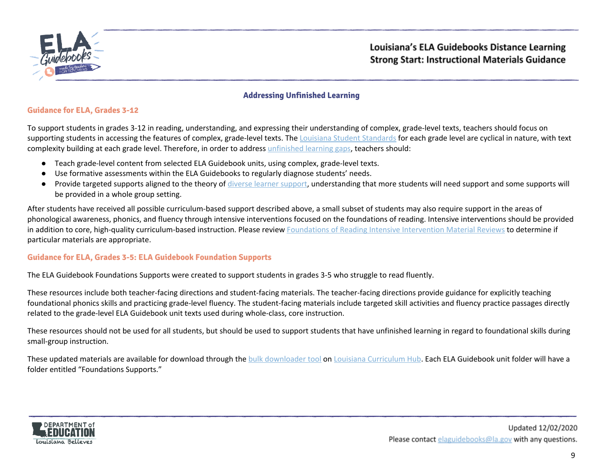

# <span id="page-8-0"></span>**Addressing Unfinished Learning**

#### **Guidance for ELA, Grades 3-12**

To support students in grades 3-12 in reading, understanding, and expressing their understanding of complex, grade-level texts, teachers should focus on supporting students in accessing the features of complex, grade-level texts. The Louisiana Student [Standards](https://www.louisianabelieves.com/docs/default-source/teacher-toolbox-resources/k-12-ela-standards.pdf) for each grade level are cyclical in nature, with text complexity building at each grade level. Therefore, in order to address [unfinished](https://www.louisianabelieves.com/docs/default-source/strong-start-2020/strong-start-2020_-addressing-unfinished-learning-gaps-guidance.pdf) learning gaps, teachers should:

- Teach grade-level content from selected ELA Guidebook units, using complex, grade-level texts.
- Use formative assessments within the ELA Guidebooks to regularly diagnose students' needs.
- Provide targeted supports aligned to the theory of diverse learner [support,](https://learnzillion.com/resources/134194/) understanding that more students will need support and some supports will be provided in a whole group setting.

After students have received all possible curriculum-based support described above, a small subset of students may also require support in the areas of phonological awareness, phonics, and fluency through intensive interventions focused on the foundations of reading. Intensive interventions should be provided in addition to core, high-quality curriculum-based instruction. Please review [Foundations](https://www.louisianabelieves.com/academics/ONLINE-INSTRUCTIONAL-MATERIALS-REVIEWS/curricular-resources-annotated-reviews) of Reading Intensive Intervention Material Reviews to determine if particular materials are appropriate.

#### **Guidance for ELA, Grades 3-5: ELA Guidebook Foundation Supports**

The ELA Guidebook Foundations Supports were created to support students in grades 3-5 who struggle to read fluently.

These resources include both teacher-facing directions and student-facing materials. The teacher-facing directions provide guidance for explicitly teaching foundational phonics skills and practicing grade-level fluency. The student-facing materials include targeted skill activities and fluency practice passages directly related to the grade-level ELA Guidebook unit texts used during whole-class, core instruction.

These resources should not be used for all students, but should be used to support students that have unfinished learning in regard to foundational skills during small-group instruction.

These updated materials are available for download through the bulk [downloader](#page-4-0) tool on Louisiana [Curriculum](https://louisianacurriculumhub.com/) Hub. Each ELA Guidebook unit folder will have a folder entitled "Foundations Supports."

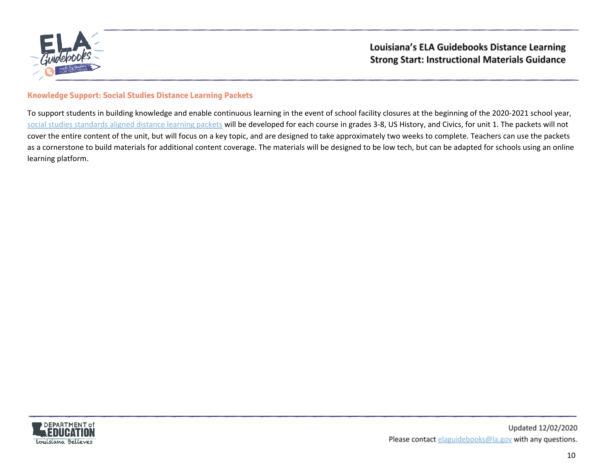

## **Knowledge Support: Social Studies Distance Learning Packets**

To support students in building knowledge and enable continuous learning in the event of school facility closures at the beginning of the 2020-2021 school year, social studies [standards](https://www.louisianabelieves.com/resources/library/k-12-social-studies-resources) aligned distance learning packets will be developed for each course in grades 3-8, US History, and Civics, for unit 1. The packets will not cover the entire content of the unit, but will focus on a key topic, and are designed to take approximately two weeks to complete. Teachers can use the packets as a cornerstone to build materials for additional content coverage. The materials will be designed to be low tech, but can be adapted for schools using an online learning platform.

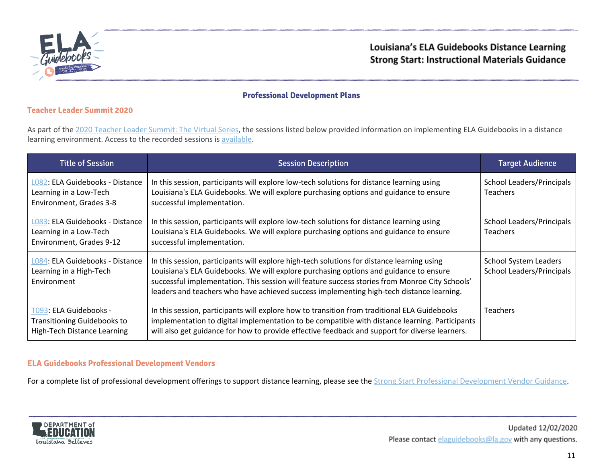

## <span id="page-10-0"></span>**Professional Development Plans**

#### **Teacher Leader Summit 2020**

As part of the 2020 Teacher Leader [Summit:](https://louisianabelieves.com/resources/library/2020-teacher-leader-collaboration-materials) The Virtual Series, the sessions listed below provided information on implementing ELA Guidebooks in a distance learning environment. Access to the recorded sessions is [available.](https://www.youtube.com/playlist?list=PL-AOEEW8RX-qYiS2OnbzdC4UqtHmulsGg)

| <b>Title of Session</b>                                                                     | <b>Session Description</b>                                                                                                                                                                                                                                                                                                                                                        | <b>Target Audience</b>                                           |
|---------------------------------------------------------------------------------------------|-----------------------------------------------------------------------------------------------------------------------------------------------------------------------------------------------------------------------------------------------------------------------------------------------------------------------------------------------------------------------------------|------------------------------------------------------------------|
| L082: ELA Guidebooks - Distance<br>Learning in a Low-Tech<br>Environment, Grades 3-8        | In this session, participants will explore low-tech solutions for distance learning using<br>Louisiana's ELA Guidebooks. We will explore purchasing options and guidance to ensure<br>successful implementation.                                                                                                                                                                  | School Leaders/Principals<br><b>Teachers</b>                     |
| L083: ELA Guidebooks - Distance<br>Learning in a Low-Tech<br>Environment, Grades 9-12       | In this session, participants will explore low-tech solutions for distance learning using<br>Louisiana's ELA Guidebooks. We will explore purchasing options and guidance to ensure<br>successful implementation.                                                                                                                                                                  | School Leaders/Principals<br><b>Teachers</b>                     |
| L084: ELA Guidebooks - Distance<br>Learning in a High-Tech<br>Environment                   | In this session, participants will explore high-tech solutions for distance learning using<br>Louisiana's ELA Guidebooks. We will explore purchasing options and guidance to ensure<br>successful implementation. This session will feature success stories from Monroe City Schools'<br>leaders and teachers who have achieved success implementing high-tech distance learning. | <b>School System Leaders</b><br><b>School Leaders/Principals</b> |
| T093: ELA Guidebooks -<br><b>Transitioning Guidebooks to</b><br>High-Tech Distance Learning | In this session, participants will explore how to transition from traditional ELA Guidebooks<br>implementation to digital implementation to be compatible with distance learning. Participants<br>will also get guidance for how to provide effective feedback and support for diverse learners.                                                                                  | <b>Teachers</b>                                                  |

#### **ELA Guidebooks Professional Development Vendors**

For a complete list of professional development offerings to support distance learning, please see the Strong Start Professional [Development](https://www.louisianabelieves.com/docs/default-source/covid-19-resources/covid19-professional-development-vendor-guidance.pdf?sfvrsn=f85b9b1f_2) Vendor Guidance.

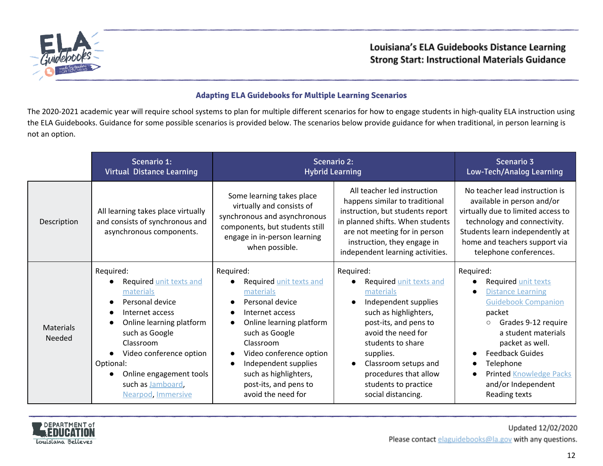

# <span id="page-11-0"></span>**Adapting ELA Guidebooks for Multiple Learning Scenarios**

The 2020-2021 academic year will require school systems to plan for multiple different scenarios for how to engage students in high-quality ELA instruction using the ELA Guidebooks. Guidance for some possible scenarios is provided below. The scenarios below provide guidance for when traditional, in person learning is not an option.

|                            | Scenario 1:<br><b>Virtual Distance Learning</b>                                                                                                                                                                                                                                            |                                                                                                                                                                                                                                                                               | <b>Scenario 2:</b><br><b>Hybrid Learning</b>                                                                                                                                                                                                                                                                 | Scenario 3<br><b>Low-Tech/Analog Learning</b>                                                                                                                                                                                                                                                    |
|----------------------------|--------------------------------------------------------------------------------------------------------------------------------------------------------------------------------------------------------------------------------------------------------------------------------------------|-------------------------------------------------------------------------------------------------------------------------------------------------------------------------------------------------------------------------------------------------------------------------------|--------------------------------------------------------------------------------------------------------------------------------------------------------------------------------------------------------------------------------------------------------------------------------------------------------------|--------------------------------------------------------------------------------------------------------------------------------------------------------------------------------------------------------------------------------------------------------------------------------------------------|
| Description                | All learning takes place virtually<br>and consists of synchronous and<br>asynchronous components.                                                                                                                                                                                          | Some learning takes place<br>virtually and consists of<br>synchronous and asynchronous<br>components, but students still<br>engage in in-person learning<br>when possible.                                                                                                    | All teacher led instruction<br>happens similar to traditional<br>instruction, but students report<br>in planned shifts. When students<br>are not meeting for in person<br>instruction, they engage in<br>independent learning activities.                                                                    | No teacher lead instruction is<br>available in person and/or<br>virtually due to limited access to<br>technology and connectivity.<br>Students learn independently at<br>home and teachers support via<br>telephone conferences.                                                                 |
| <b>Materials</b><br>Needed | Required:<br>Required unit texts and<br>materials<br>Personal device<br>$\bullet$<br>Internet access<br>Online learning platform<br>$\bullet$<br>such as Google<br>Classroom<br>Video conference option<br>Optional:<br>Online engagement tools<br>such as Jamboard,<br>Nearpod, Immersive | Required:<br>Required unit texts and<br>materials<br>Personal device<br>Internet access<br>Online learning platform<br>such as Google<br>Classroom<br>Video conference option<br>Independent supplies<br>such as highlighters,<br>post-its, and pens to<br>avoid the need for | Required:<br>Required unit texts and<br>materials<br>Independent supplies<br>$\bullet$<br>such as highlighters,<br>post-its, and pens to<br>avoid the need for<br>students to share<br>supplies.<br>Classroom setups and<br>$\bullet$<br>procedures that allow<br>students to practice<br>social distancing. | Required:<br>Required unit texts<br><b>Distance Learning</b><br><b>Guidebook Companion</b><br>packet<br>Grades 9-12 require<br>$\circ$<br>a student materials<br>packet as well.<br><b>Feedback Guides</b><br>Telephone<br><b>Printed Knowledge Packs</b><br>and/or Independent<br>Reading texts |

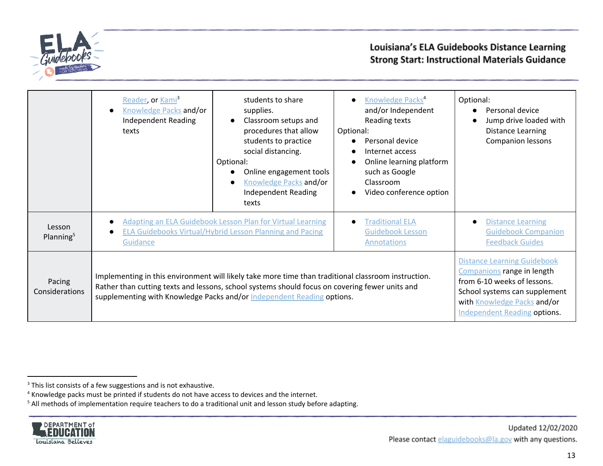

|                                 | Reader, or Kami <sup>3</sup><br>Knowledge Packs and/or<br><b>Independent Reading</b><br>texts                                                                                                                                                                                   | students to share<br>supplies.<br>Classroom setups and<br>procedures that allow<br>students to practice<br>social distancing.<br>Optional:<br>Online engagement tools<br><b>Knowledge Packs and/or</b><br><b>Independent Reading</b><br>texts | Knowledge Packs <sup>4</sup><br>$\bullet$<br>and/or Independent<br>Reading texts<br>Optional:<br>Personal device<br>Internet access<br>Online learning platform<br>such as Google<br>Classroom<br>Video conference option | Optional:<br>Personal device<br>Jump drive loaded with<br><b>Distance Learning</b><br><b>Companion lessons</b>                                                                                         |
|---------------------------------|---------------------------------------------------------------------------------------------------------------------------------------------------------------------------------------------------------------------------------------------------------------------------------|-----------------------------------------------------------------------------------------------------------------------------------------------------------------------------------------------------------------------------------------------|---------------------------------------------------------------------------------------------------------------------------------------------------------------------------------------------------------------------------|--------------------------------------------------------------------------------------------------------------------------------------------------------------------------------------------------------|
| Lesson<br>Planning <sup>5</sup> | <b>Adapting an ELA Guidebook Lesson Plan for Virtual Learning</b><br><b>ELA Guidebooks Virtual/Hybrid Lesson Planning and Pacing</b><br>$\bullet$<br>Guidance                                                                                                                   |                                                                                                                                                                                                                                               | <b>Traditional ELA</b><br><b>Guidebook Lesson</b><br><b>Annotations</b>                                                                                                                                                   | <b>Distance Learning</b><br><b>Guidebook Companion</b><br><b>Feedback Guides</b>                                                                                                                       |
| Pacing<br>Considerations        | Implementing in this environment will likely take more time than traditional classroom instruction.<br>Rather than cutting texts and lessons, school systems should focus on covering fewer units and<br>supplementing with Knowledge Packs and/or Independent Reading options. |                                                                                                                                                                                                                                               |                                                                                                                                                                                                                           | <b>Distance Learning Guidebook</b><br>Companions range in length<br>from 6-10 weeks of lessons.<br>School systems can supplement<br>with Knowledge Packs and/or<br><b>Independent Reading options.</b> |

<sup>&</sup>lt;sup>5</sup> All methods of implementation require teachers to do a traditional unit and lesson study before adapting.



 $3$  This list consists of a few suggestions and is not exhaustive.

<sup>&</sup>lt;sup>4</sup> Knowledge packs must be printed if students do not have access to devices and the internet.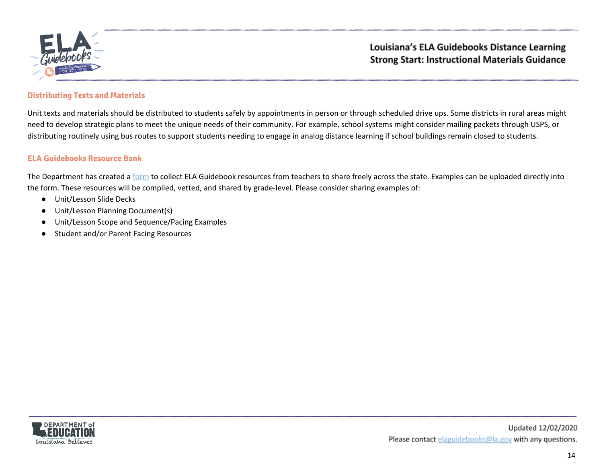

#### **Distributing Texts and Materials**

Unit texts and materials should be distributed to students safely by appointments in person or through scheduled drive ups. Some districts in rural areas might need to develop strategic plans to meet the unique needs of their community. For example, school systems might consider mailing packets through USPS, or distributing routinely using bus routes to support students needing to engage in analog distance learning if school buildings remain closed to students.

#### **ELA Guidebooks Resource Bank**

The Department has created a [form](https://app.smartsheet.com/b/form/b0a9cbe875bb4d218a158e10cedc11ba) to collect ELA Guidebook resources from teachers to share freely across the state. Examples can be uploaded directly into the form. These resources will be compiled, vetted, and shared by grade-level. Please consider sharing examples of:

- Unit/Lesson Slide Decks
- Unit/Lesson Planning Document(s)
- Unit/Lesson Scope and Sequence/Pacing Examples
- Student and/or Parent Facing Resources

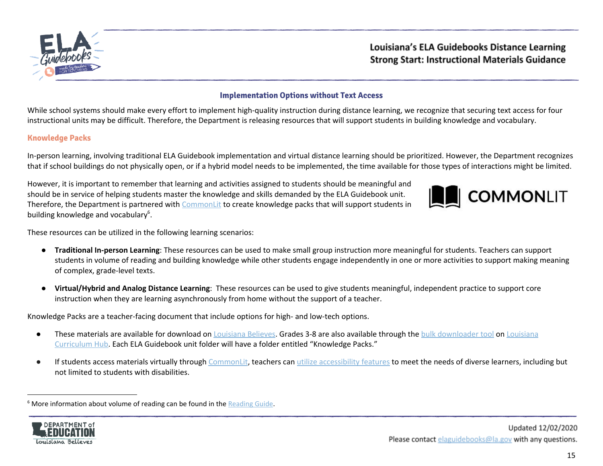

# <span id="page-14-0"></span>**Implementation Options without Text Access**

While school systems should make every effort to implement high-quality instruction during distance learning, we recognize that securing text access for four instructional units may be difficult. Therefore, the Department is releasing resources that will support students in building knowledge and vocabulary.

#### <span id="page-14-1"></span>**Knowledge Packs**

In-person learning, involving traditional ELA Guidebook implementation and virtual distance learning should be prioritized. However, the Department recognizes that if school buildings do not physically open, or if a hybrid model needs to be implemented, the time available for those types of interactions might be limited.

However, it is important to remember that learning and activities assigned to students should be meaningful and should be in service of helping students master the knowledge and skills demanded by the ELA Guidebook unit. Therefore, the Department is partnered with [CommonLit](https://www.commonlit.org/en) to create knowledge packs that will support students in building knowledge and vocabulary<sup>6</sup>.



These resources can be utilized in the following learning scenarios:

- **Traditional In-person Learning**: These resources can be used to make small group instruction more meaningful for students. Teachers can support students in volume of reading and building knowledge while other students engage independently in one or more activities to support making meaning of complex, grade-level texts.
- **Virtual/Hybrid and Analog Distance Learning**: These resources can be used to give students meaningful, independent practice to support core instruction when they are learning asynchronously from home without the support of a teacher.

Knowledge Packs are a teacher-facing document that include options for high- and low-tech options.

- These materials are available for download on [Louisiana](https://www.louisianabelieves.com/academics/ela-guidebooks) Believes. Grades 3-8 are also available through the bulk [downloader](#page-4-0) tool on [Louisiana](https://louisianacurriculumhub.com/) [Curriculum](https://louisianacurriculumhub.com/) Hub. Each ELA Guidebook unit folder will have a folder entitled "Knowledge Packs."
- If students access materials virtually through [CommonLit,](https://www.commonlit.org/en) teachers can utilize [accessibility](https://blog.commonlit.org/commonlits-guide-to-accessibility-for-schools-districts-and-states-29cebdefd820) features to meet the needs of diverse learners, including but not limited to students with disabilities.

<sup>&</sup>lt;sup>6</sup> More information about volume of reading can be found in the [Reading](https://learnzillion.com/resources/134193/) Guide.

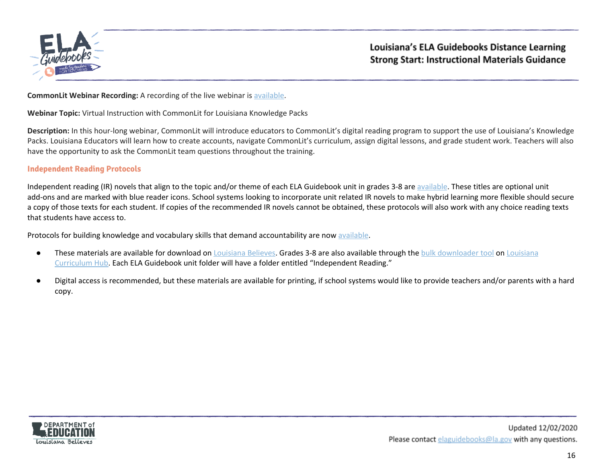

#### **CommonLit Webinar Recording:** A recording of the live webinar is [available.](https://youtu.be/vGU1ST6K9_g)

**Webinar Topic:** Virtual Instruction with CommonLit for Louisiana Knowledge Packs

**Description:** In this hour-long webinar, CommonLit will introduce educators to CommonLit's digital reading program to support the use of Louisiana's Knowledge Packs. Louisiana Educators will learn how to create accounts, navigate CommonLit's curriculum, assign digital lessons, and grade student work. Teachers will also have the opportunity to ask the CommonLit team questions throughout the training.

#### **Independent Reading Protocols**

Independent reading (IR) novels that align to the topic and/or theme of each ELA Guidebook unit in grades 3-8 are [available](https://www.americanreading.com/louisiana-doe/). These titles are optional unit add-ons and are marked with blue reader icons. School systems looking to incorporate unit related IR novels to make hybrid learning more flexible should secure a copy of those texts for each student. If copies of the recommended IR novels cannot be obtained, these protocols will also work with any choice reading texts that students have access to.

Protocols for building knowledge and vocabulary skills that demand accountability are now [available](https://www.louisianabelieves.com/docs/default-source/teacher-toolbox-resources/2020-ela-guidebooks-independent-reading-protocols.pdf?sfvrsn=ed5e981f_2).

- **•** These materials are available for download on [Louisiana](https://louisianacurriculumhub.com/) Believes. Grades 3-8 are also available through the bulk [downloader](#page-4-0) tool on Louisiana [Curriculum](https://louisianacurriculumhub.com/) Hub. Each ELA Guidebook unit folder will have a folder entitled "Independent Reading."
- Digital access is recommended, but these materials are available for printing, if school systems would like to provide teachers and/or parents with a hard copy.

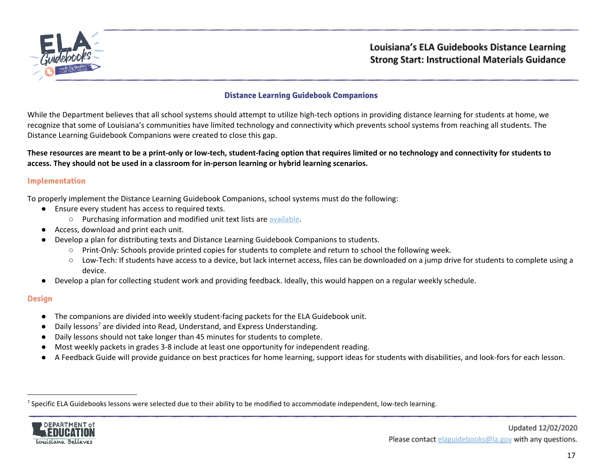

#### <span id="page-16-0"></span>**Distance Learning Guidebook Companions**

While the Department believes that all school systems should attempt to utilize high-tech options in providing distance learning for students at home, we recognize that some of Louisiana's communities have limited technology and connectivity which prevents school systems from reaching all students. The Distance Learning Guidebook Companions were created to close this gap.

These resources are meant to be a print-only or low-tech, student-facing option that requires limited or no technology and connectivity for students to **access. They should not be used in a classroom for in-person learning or hybrid learning scenarios.**

#### **Implementation**

To properly implement the Distance Learning Guidebook Companions, school systems must do the following:

- Ensure every student has access to required texts.
	- Purchasing information and modified unit text lists are [available](#page-1-0).
- Access, download and print each unit.
- Develop a plan for distributing texts and Distance Learning Guidebook Companions to students.
	- Print-Only: Schools provide printed copies for students to complete and return to school the following week.
	- Low-Tech: If students have access to a device, but lack internet access, files can be downloaded on a jump drive for students to complete using a device.
- Develop a plan for collecting student work and providing feedback. Ideally, this would happen on a regular weekly schedule.

#### **Design**

- The companions are divided into weekly student-facing packets for the ELA Guidebook unit.
- $\bullet$  Daily lessons<sup>7</sup> are divided into Read, Understand, and Express Understanding.
- Daily lessons should not take longer than 45 minutes for students to complete.
- Most weekly packets in grades 3-8 include at least one opportunity for independent reading.
- A Feedback Guide will provide guidance on best practices for home learning, support ideas for students with disabilities, and look-fors for each lesson.

<sup>&</sup>lt;sup>7</sup> Specific ELA Guidebooks lessons were selected due to their ability to be modified to accommodate independent, low-tech learning.